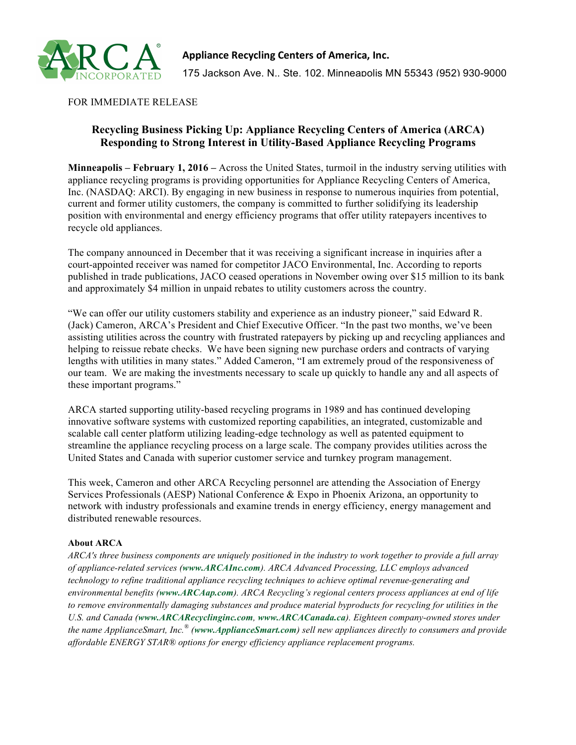

## FOR IMMEDIATE RELEASE

## **Recycling Business Picking Up: Appliance Recycling Centers of America (ARCA) Responding to Strong Interest in Utility-Based Appliance Recycling Programs**

**Minneapolis – February 1, 2016 –** Across the United States, turmoil in the industry serving utilities with appliance recycling programs is providing opportunities for Appliance Recycling Centers of America, Inc. (NASDAQ: ARCI). By engaging in new business in response to numerous inquiries from potential, current and former utility customers, the company is committed to further solidifying its leadership position with environmental and energy efficiency programs that offer utility ratepayers incentives to recycle old appliances.

The company announced in December that it was receiving a significant increase in inquiries after a court-appointed receiver was named for competitor JACO Environmental, Inc. According to reports published in trade publications, JACO ceased operations in November owing over \$15 million to its bank and approximately \$4 million in unpaid rebates to utility customers across the country.

"We can offer our utility customers stability and experience as an industry pioneer," said Edward R. (Jack) Cameron, ARCA's President and Chief Executive Officer. "In the past two months, we've been assisting utilities across the country with frustrated ratepayers by picking up and recycling appliances and helping to reissue rebate checks. We have been signing new purchase orders and contracts of varying lengths with utilities in many states." Added Cameron, "I am extremely proud of the responsiveness of our team. We are making the investments necessary to scale up quickly to handle any and all aspects of these important programs."

ARCA started supporting utility-based recycling programs in 1989 and has continued developing innovative software systems with customized reporting capabilities, an integrated, customizable and scalable call center platform utilizing leading-edge technology as well as patented equipment to streamline the appliance recycling process on a large scale. The company provides utilities across the United States and Canada with superior customer service and turnkey program management.

This week, Cameron and other ARCA Recycling personnel are attending the Association of Energy Services Professionals (AESP) National Conference & Expo in Phoenix Arizona, an opportunity to network with industry professionals and examine trends in energy efficiency, energy management and distributed renewable resources.

## **About ARCA**

*ARCA's three business components are uniquely positioned in the industry to work together to provide a full array of appliance-related services (www.ARCAInc.com). ARCA Advanced Processing, LLC employs advanced technology to refine traditional appliance recycling techniques to achieve optimal revenue-generating and environmental benefits (www.ARCAap.com). ARCA Recycling's regional centers process appliances at end of life to remove environmentally damaging substances and produce material byproducts for recycling for utilities in the U.S. and Canada (www.ARCARecyclinginc.com, www.ARCACanada.ca). Eighteen company-owned stores under the name ApplianceSmart, Inc.® (www.ApplianceSmart.com) sell new appliances directly to consumers and provide affordable ENERGY STAR® options for energy efficiency appliance replacement programs.*